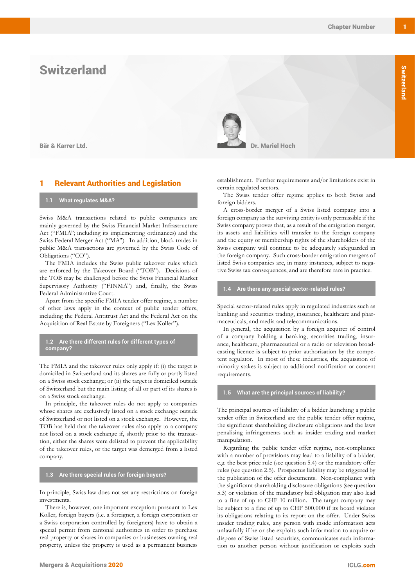# **Switzerland**

# **Relevant Authorities and Legislation**

#### **1.1 What regulates M&A?**

Swiss M&A transactions related to public companies are mainly governed by the Swiss Financial Market Infrastructure Act ("FMIA"; including its implementing ordinances) and the Swiss Federal Merger Act ("MA"). In addition, block trades in public M&A transactions are governed by the Swiss Code of Obligations ("CO").

The FMIA includes the Swiss public takeover rules which are enforced by the Takeover Board ("TOB"). Decisions of the TOB may be challenged before the Swiss Financial Market Supervisory Authority ("FINMA") and, finally, the Swiss Federal Administrative Court.

Apart from the specific FMIA tender offer regime, a number of other laws apply in the context of public tender offers, including the Federal Antitrust Act and the Federal Act on the Acquisition of Real Estate by Foreigners ("Lex Koller").

**1.2 Are there different rules for different types of company?**

The FMIA and the takeover rules only apply if: (i) the target is domiciled in Switzerland and its shares are fully or partly listed on a Swiss stock exchange; or (ii) the target is domiciled outside of Switzerland but the main listing of all or part of its shares is on a Swiss stock exchange.

In principle, the takeover rules do not apply to companies whose shares are exclusively listed on a stock exchange outside of Switzerland or not listed on a stock exchange. However, the TOB has held that the takeover rules also apply to a company not listed on a stock exchange if, shortly prior to the transaction, either the shares were delisted to prevent the applicability of the takeover rules, or the target was demerged from a listed company.

#### **1.3 Are there special rules for foreign buyers?**

In principle, Swiss law does not set any restrictions on foreign investments.

There is, however, one important exception: pursuant to Lex Koller, foreign buyers (i.e. a foreigner, a foreign corporation or a Swiss corporation controlled by foreigners) have to obtain a special permit from cantonal authorities in order to purchase real property or shares in companies or businesses owning real property, unless the property is used as a permanent business



establishment. Further requirements and/or limitations exist in certain regulated sectors.

The Swiss tender offer regime applies to both Swiss and foreign bidders.

A cross-border merger of a Swiss listed company into a foreign company as the surviving entity is only permissible if the Swiss company proves that, as a result of the emigration merger, its assets and liabilities will transfer to the foreign company and the equity or membership rights of the shareholders of the Swiss company will continue to be adequately safeguarded in the foreign company. Such cross-border emigration mergers of listed Swiss companies are, in many instances, subject to negative Swiss tax consequences, and are therefore rare in practice.

## **1.4 Are there any special sector-related rules?**

Special sector-related rules apply in regulated industries such as banking and securities trading, insurance, healthcare and pharmaceuticals, and media and telecommunications.

In general, the acquisition by a foreign acquirer of control of a company holding a banking, securities trading, insurance, healthcare, pharmaceutical or a radio or television broadcasting licence is subject to prior authorisation by the competent regulator. In most of these industries, the acquisition of minority stakes is subject to additional notification or consent requirements.

#### **1.5 What are the principal sources of liability?**

The principal sources of liability of a bidder launching a public tender offer in Switzerland are the public tender offer regime, the significant shareholding disclosure obligations and the laws penalising infringements such as insider trading and market manipulation.

Regarding the public tender offer regime, non-compliance with a number of provisions may lead to a liability of a bidder, e.g. the best price rule (see question 5.4) or the mandatory offer rules (see question 2.5). Prospectus liability may be triggered by the publication of the offer documents. Non-compliance with the significant shareholding disclosure obligations (see question 5.3) or violation of the mandatory bid obligation may also lead to a fine of up to CHF 10 million. The target company may be subject to a fine of up to CHF 500,000 if its board violates its obligations relating to its report on the offer. Under Swiss insider trading rules, any person with inside information acts unlawfully if he or she exploits such information to acquire or dispose of Swiss listed securities, communicates such information to another person without justification or exploits such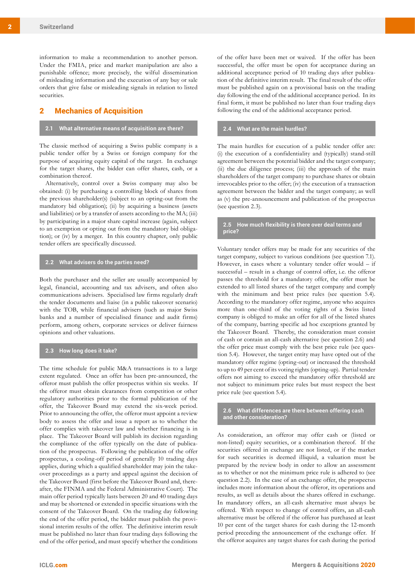information to make a recommendation to another person. Under the FMIA, price and market manipulation are also a punishable offence; more precisely, the wilful dissemination of misleading information and the execution of any buy or sale orders that give false or misleading signals in relation to listed securities.

# 2 Mechanics of Acquisition

## **2.1 What alternative means of acquisition are there?**

The classic method of acquiring a Swiss public company is a public tender offer by a Swiss or foreign company for the purpose of acquiring equity capital of the target. In exchange for the target shares, the bidder can offer shares, cash, or a combination thereof.

Alternatively, control over a Swiss company may also be obtained: (i) by purchasing a controlling block of shares from the previous shareholder(s) (subject to an opting-out from the mandatory bid obligation); (ii) by acquiring a business (assets and liabilities) or by a transfer of assets according to the MA; (iii) by participating in a major share capital increase (again, subject to an exemption or opting out from the mandatory bid obligation); or (iv) by a merger. In this country chapter, only public tender offers are specifically discussed.

## **2.2 What advisers do the parties need?**

Both the purchaser and the seller are usually accompanied by legal, financial, accounting and tax advisers, and often also communications advisers. Specialised law firms regularly draft the tender documents and liaise (in a public takeover scenario) with the TOB, while financial advisers (such as major Swiss banks and a number of specialised finance and audit firms) perform, among others, corporate services or deliver fairness opinions and other valuations.

#### **2.3 How long does it take?**

The time schedule for public M&A transactions is to a large extent regulated. Once an offer has been pre-announced, the offeror must publish the offer prospectus within six weeks. If the offeror must obtain clearances from competition or other regulatory authorities prior to the formal publication of the offer, the Takeover Board may extend the six-week period. Prior to announcing the offer, the offeror must appoint a review body to assess the offer and issue a report as to whether the offer complies with takeover law and whether financing is in place. The Takeover Board will publish its decision regarding the compliance of the offer typically on the date of publication of the prospectus. Following the publication of the offer prospectus, a cooling-off period of generally 10 trading days applies, during which a qualified shareholder may join the takeover proceedings as a party and appeal against the decision of the Takeover Board (first before the Takeover Board and, thereafter, the FINMA and the Federal Administrative Court). The main offer period typically lasts between 20 and 40 trading days and may be shortened or extended in specific situations with the consent of the Takeover Board. On the trading day following the end of the offer period, the bidder must publish the provisional interim results of the offer. The definitive interim result must be published no later than four trading days following the end of the offer period, and must specify whether the conditions

of the offer have been met or waived. If the offer has been successful, the offer must be open for acceptance during an additional acceptance period of 10 trading days after publication of the definitive interim result. The final result of the offer must be published again on a provisional basis on the trading day following the end of the additional acceptance period. In its final form, it must be published no later than four trading days following the end of the additional acceptance period.

## **2.4 What are the main hurdles?**

The main hurdles for execution of a public tender offer are: (i) the execution of a confidentiality and (typically) stand-still agreement between the potential bidder and the target company; (ii) the due diligence process; (iii) the approach of the main shareholders of the target company to purchase shares or obtain irrevocables prior to the offer; (iv) the execution of a transaction agreement between the bidder and the target company; as well as (v) the pre-announcement and publication of the prospectus (see question 2.3).

#### **2.5 How much flexibility is there over deal terms and price?**

Voluntary tender offers may be made for any securities of the target company, subject to various conditions (see question 7.1). However, in cases where a voluntary tender offer would – if successful – result in a change of control offer, i.e. the offeror passes the threshold for a mandatory offer, the offer must be extended to all listed shares of the target company and comply with the minimum and best price rules (see question 5.4). According to the mandatory offer regime, anyone who acquires more than one-third of the voting rights of a Swiss listed company is obliged to make an offer for all of the listed shares of the company, barring specific ad hoc exceptions granted by the Takeover Board. Thereby, the consideration must consist of cash or contain an all-cash alternative (see question 2.6) and the offer price must comply with the best price rule (see question 5.4). However, the target entity may have opted out of the mandatory offer regime (opting-out) or increased the threshold to up to 49 per cent of its voting rights (opting-up). Partial tender offers not aiming to exceed the mandatory offer threshold are not subject to minimum price rules but must respect the best price rule (see question 5.4).

**2.6 What differences are there between offering cash and other consideration?**

As consideration, an offeror may offer cash or (listed or non-listed) equity securities, or a combination thereof. If the securities offered in exchange are not listed, or if the market for such securities is deemed illiquid, a valuation must be prepared by the review body in order to allow an assessment as to whether or not the minimum price rule is adhered to (see question 2.2). In the case of an exchange offer, the prospectus includes more information about the offeror, its operations and results, as well as details about the shares offered in exchange. In mandatory offers, an all-cash alternative must always be offered. With respect to change of control offers, an all-cash alternative must be offered if the offeror has purchased at least 10 per cent of the target shares for cash during the 12-month period preceding the announcement of the exchange offer. If the offeror acquires any target shares for cash during the period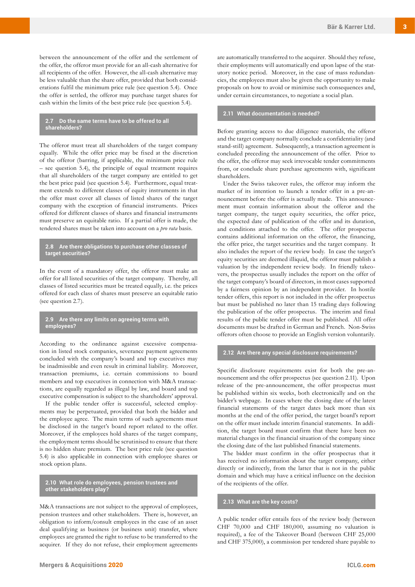between the announcement of the offer and the settlement of the offer, the offeror must provide for an all-cash alternative for all recipients of the offer. However, the all-cash alternative may be less valuable than the share offer, provided that both considerations fulfil the minimum price rule (see question 5.4). Once the offer is settled, the offeror may purchase target shares for cash within the limits of the best price rule (see question 5.4).

#### **2.7 Do the same terms have to be offered to all shareholders?**

The offeror must treat all shareholders of the target company equally. While the offer price may be fixed at the discretion of the offeror (barring, if applicable, the minimum price rule – see question 5.4), the principle of equal treatment requires that all shareholders of the target company are entitled to get the best price paid (see question 5.4). Furthermore, equal treatment extends to different classes of equity instruments in that the offer must cover all classes of listed shares of the target company with the exception of financial instruments. Prices offered for different classes of shares and financial instruments must preserve an equitable ratio. If a partial offer is made, the tendered shares must be taken into account on a *pro rata* basis.

#### **2.8 Are there obligations to purchase other classes of target securities?**

In the event of a mandatory offer, the offeror must make an offer for all listed securities of the target company. Thereby, all classes of listed securities must be treated equally, i.e. the prices offered for each class of shares must preserve an equitable ratio (see question 2.7).

## **2.9 Are there any limits on agreeing terms with employees?**

According to the ordinance against excessive compensation in listed stock companies, severance payment agreements concluded with the company's board and top executives may be inadmissible and even result in criminal liability. Moreover, transaction premiums, i.e. certain commissions to board members and top executives in connection with M&A transactions, are equally regarded as illegal by law, and board and top executive compensation is subject to the shareholders' approval.

If the public tender offer is successful, selected employments may be perpetuated, provided that both the bidder and the employee agree. The main terms of such agreements must be disclosed in the target's board report related to the offer. Moreover, if the employees hold shares of the target company, the employment terms should be scrutinised to ensure that there is no hidden share premium. The best price rule (see question 5.4) is also applicable in connection with employee shares or stock option plans.

**2.10 What role do employees, pension trustees and other stakeholders play?**

M&A transactions are not subject to the approval of employees, pension trustees and other stakeholders. There is, however, an obligation to inform/consult employees in the case of an asset deal qualifying as business (or business unit) transfer, where employees are granted the right to refuse to be transferred to the acquirer. If they do not refuse, their employment agreements are automatically transferred to the acquirer. Should they refuse, their employments will automatically end upon lapse of the statutory notice period. Moreover, in the case of mass redundancies, the employees must also be given the opportunity to make proposals on how to avoid or minimise such consequences and, under certain circumstances, to negotiate a social plan.

## **2.11 What documentation is needed?**

Before granting access to due diligence materials, the offeror and the target company normally conclude a confidentiality (and stand-still) agreement. Subsequently, a transaction agreement is concluded preceding the announcement of the offer. Prior to the offer, the offeror may seek irrevocable tender commitments from, or conclude share purchase agreements with, significant shareholders.

Under the Swiss takeover rules, the offeror may inform the market of its intention to launch a tender offer in a pre-announcement before the offer is actually made. This announcement must contain information about the offeror and the target company, the target equity securities, the offer price, the expected date of publication of the offer and its duration, and conditions attached to the offer. The offer prospectus contains additional information on the offeror, the financing, the offer price, the target securities and the target company. It also includes the report of the review body. In case the target's equity securities are deemed illiquid, the offeror must publish a valuation by the independent review body. In friendly takeovers, the prospectus usually includes the report on the offer of the target company's board of directors, in most cases supported by a fairness opinion by an independent provider. In hostile tender offers, this report is not included in the offer prospectus but must be published no later than 15 trading days following the publication of the offer prospectus. The interim and final results of the public tender offer must be published. All offer documents must be drafted in German and French. Non-Swiss offerors often choose to provide an English version voluntarily.

#### **2.12 Are there any special disclosure requirements?**

Specific disclosure requirements exist for both the pre-announcement and the offer prospectus (see question 2.11). Upon release of the pre-announcement, the offer prospectus must be published within six weeks, both electronically and on the bidder's webpage. In cases where the closing date of the latest financial statements of the target dates back more than six months at the end of the offer period, the target board's report on the offer must include interim financial statements. In addition, the target board must confirm that there have been no material changes in the financial situation of the company since the closing date of the last published financial statements.

The bidder must confirm in the offer prospectus that it has received no information about the target company, either directly or indirectly, from the latter that is not in the public domain and which may have a critical influence on the decision of the recipients of the offer.

#### **2.13 What are the key costs?**

A public tender offer entails fees of the review body (between CHF 70,000 and CHF 180,000, assuming no valuation is required), a fee of the Takeover Board (between CHF 25,000 and CHF 375,000), a commission per tendered share payable to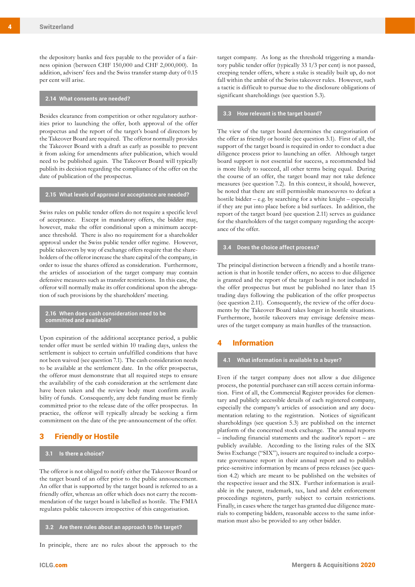the depository banks and fees payable to the provider of a fairness opinion (between CHF 150,000 and CHF 2,000,000). In addition, advisers' fees and the Swiss transfer stamp duty of 0.15 per cent will arise.

#### **2.14 What consents are needed?**

Besides clearance from competition or other regulatory authorities prior to launching the offer, both approval of the offer prospectus and the report of the target's board of directors by the Takeover Board are required. The offeror normally provides the Takeover Board with a draft as early as possible to prevent it from asking for amendments after publication, which would need to be published again. The Takeover Board will typically publish its decision regarding the compliance of the offer on the date of publication of the prospectus.

#### **2.15 What levels of approval or acceptance are needed?**

Swiss rules on public tender offers do not require a specific level of acceptance. Except in mandatory offers, the bidder may, however, make the offer conditional upon a minimum acceptance threshold. There is also no requirement for a shareholder approval under the Swiss public tender offer regime. However, public takeovers by way of exchange offers require that the shareholders of the offeror increase the share capital of the company, in order to issue the shares offered as consideration. Furthermore, the articles of association of the target company may contain defensive measures such as transfer restrictions. In this case, the offeror will normally make its offer conditional upon the abrogation of such provisions by the shareholders' meeting.

#### **2.16 When does cash consideration need to be committed and available?**

Upon expiration of the additional acceptance period, a public tender offer must be settled within 10 trading days, unless the settlement is subject to certain unfulfilled conditions that have not been waived (see question 7.1). The cash consideration needs to be available at the settlement date. In the offer prospectus, the offeror must demonstrate that all required steps to ensure the availability of the cash consideration at the settlement date have been taken and the review body must confirm availability of funds. Consequently, any debt funding must be firmly committed prior to the release date of the offer prospectus. In practice, the offeror will typically already be seeking a firm commitment on the date of the pre-announcement of the offer.

## 3 Friendly or Hostile

## **3.1 Is there a choice?**

The offeror is not obliged to notify either the Takeover Board or the target board of an offer prior to the public announcement. An offer that is supported by the target board is referred to as a friendly offer, whereas an offer which does not carry the recommendation of the target board is labelled as hostile. The FMIA regulates public takeovers irrespective of this categorisation.

**3.2 Are there rules about an approach to the target?**

In principle, there are no rules about the approach to the

target company. As long as the threshold triggering a mandatory public tender offer (typically 33 1/3 per cent) is not passed, creeping tender offers, where a stake is steadily built up, do not fall within the ambit of the Swiss takeover rules. However, such a tactic is difficult to pursue due to the disclosure obligations of significant shareholdings (see question 5.3).

## **3.3 How relevant is the target board?**

The view of the target board determines the categorisation of the offer as friendly or hostile (see question 3.1). First of all, the support of the target board is required in order to conduct a due diligence process prior to launching an offer. Although target board support is not essential for success, a recommended bid is more likely to succeed, all other terms being equal. During the course of an offer, the target board may not take defence measures (see question 7.2). In this context, it should, however, be noted that there are still permissible manoeuvres to defeat a hostile bidder – e.g. by searching for a white knight – especially if they are put into place before a bid surfaces. In addition, the report of the target board (see question 2.11) serves as guidance for the shareholders of the target company regarding the acceptance of the offer.

## **3.4 Does the choice affect process?**

The principal distinction between a friendly and a hostile transaction is that in hostile tender offers, no access to due diligence is granted and the report of the target board is not included in the offer prospectus but must be published no later than 15 trading days following the publication of the offer prospectus (see question 2.11). Consequently, the review of the offer documents by the Takeover Board takes longer in hostile situations. Furthermore, hostile takeovers may envisage defensive measures of the target company as main hurdles of the transaction.

## **Information**

# **4.1 What information is available to a buyer?**

Even if the target company does not allow a due diligence process, the potential purchaser can still access certain information. First of all, the Commercial Register provides for elementary and publicly accessible details of each registered company, especially the company's articles of association and any documentation relating to the registration. Notices of significant shareholdings (see question 5.3) are published on the internet platform of the concerned stock exchange. The annual reports – including financial statements and the auditor's report – are publicly available. According to the listing rules of the SIX Swiss Exchange ("SIX"), issuers are required to include a corporate governance report in their annual report and to publish price-sensitive information by means of press releases (see question 4.2) which are meant to be published on the websites of the respective issuer and the SIX. Further information is available in the patent, trademark, tax, land and debt enforcement proceedings registers, partly subject to certain restrictions. Finally, in cases where the target has granted due diligence materials to competing bidders, reasonable access to the same information must also be provided to any other bidder.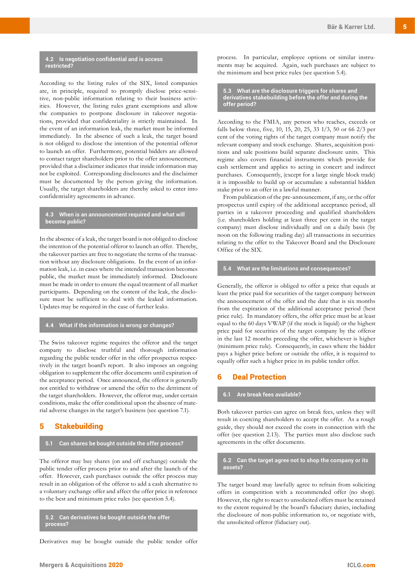## **4.2 Is negotiation confidential and is access restricted?**

According to the listing rules of the SIX, listed companies are, in principle, required to promptly disclose price-sensitive, non-public information relating to their business activities. However, the listing rules grant exemptions and allow the companies to postpone disclosure in takeover negotiations, provided that confidentiality is strictly maintained. In the event of an information leak, the market must be informed immediately. In the absence of such a leak, the target board is not obliged to disclose the intention of the potential offeror to launch an offer. Furthermore, potential bidders are allowed to contact target shareholders prior to the offer announcement, provided that a disclaimer indicates that inside information may not be exploited. Corresponding disclosures and the disclaimer must be documented by the person giving the information. Usually, the target shareholders are thereby asked to enter into confidentiality agreements in advance.

## **4.3 When is an announcement required and what will become public?**

In the absence of a leak, the target board is not obliged to disclose the intention of the potential offeror to launch an offer. Thereby, the takeover parties are free to negotiate the terms of the transaction without any disclosure obligations. In the event of an information leak, i.e. in cases where the intended transaction becomes public, the market must be immediately informed. Disclosure must be made in order to ensure the equal treatment of all market participants. Depending on the content of the leak, the disclosure must be sufficient to deal with the leaked information. Updates may be required in the case of further leaks.

## **4.4 What if the information is wrong or changes?**

The Swiss takeover regime requires the offeror and the target company to disclose truthful and thorough information regarding the public tender offer in the offer prospectus respectively in the target board's report. It also imposes an ongoing obligation to supplement the offer documents until expiration of the acceptance period. Once announced, the offeror is generally not entitled to withdraw or amend the offer to the detriment of the target shareholders. However, the offeror may, under certain conditions, make the offer conditional upon the absence of material adverse changes in the target's business (see question 7.1).

## 5 Stakebuilding

#### **5.1 Can shares be bought outside the offer process?**

The offeror may buy shares (on and off exchange) outside the public tender offer process prior to and after the launch of the offer. However, cash purchases outside the offer process may result in an obligation of the offeror to add a cash alternative to a voluntary exchange offer and affect the offer price in reference to the best and minimum price rules (see question 5.4).

#### **5.2 Can derivatives be bought outside the offer process?**

Derivatives may be bought outside the public tender offer

process. In particular, employee options or similar instruments may be acquired. Again, such purchases are subject to the minimum and best price rules (see question 5.4).

**5.3 What are the disclosure triggers for shares and derivatives stakebuilding before the offer and during the offer period?**

According to the FMIA, any person who reaches, exceeds or falls below three, five, 10, 15, 20, 25, 33 1/3, 50 or 66 2/3 per cent of the voting rights of the target company must notify the relevant company and stock exchange. Shares, acquisition positions and sale positions build separate disclosure units. This regime also covers financial instruments which provide for cash settlement and applies to acting in concert and indirect purchases. Consequently, (except for a large single block trade) it is impossible to build up or accumulate a substantial hidden stake prior to an offer in a lawful manner.

From publication of the pre-announcement, if any, or the offer prospectus until expiry of the additional acceptance period, all parties in a takeover proceeding and qualified shareholders (i.e. shareholders holding at least three per cent in the target company) must disclose individually and on a daily basis (by noon on the following trading day) all transactions in securities relating to the offer to the Takeover Board and the Disclosure Office of the SIX.

#### **5.4 What are the limitations and consequences?**

Generally, the offeror is obliged to offer a price that equals at least the price paid for securities of the target company between the announcement of the offer and the date that is six months from the expiration of the additional acceptance period (best price rule). In mandatory offers, the offer price must be at least equal to the 60 days VWAP (if the stock is liquid) or the highest price paid for securities of the target company by the offeror in the last 12 months preceding the offer, whichever is higher (minimum price rule). Consequently, in cases where the bidder pays a higher price before or outside the offer, it is required to equally offer such a higher price in its public tender offer.

## **Deal Protection**

#### **6.1 Are break fees available?**

Both takeover parties can agree on break fees, unless they will result in coercing shareholders to accept the offer. As a rough guide, they should not exceed the costs in connection with the offer (see question 2.13). The parties must also disclose such agreements in the offer documents.

#### **6.2 Can the target agree not to shop the company or its assets?**

The target board may lawfully agree to refrain from soliciting offers in competition with a recommended offer (no shop). However, the right to react to unsolicited offers must be retained to the extent required by the board's fiduciary duties, including the disclosure of non-public information to, or negotiate with, the unsolicited offeror (fiduciary out).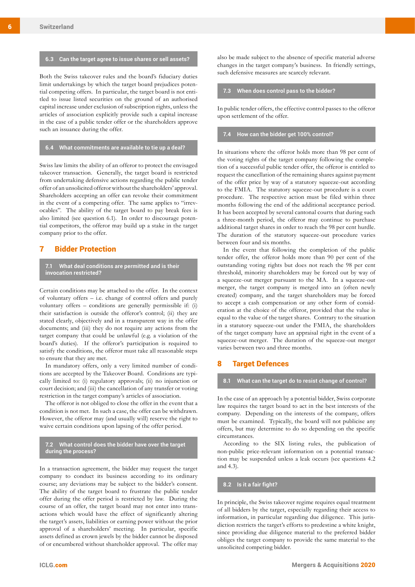#### **6.3 Can the target agree to issue shares or sell assets?**

Both the Swiss takeover rules and the board's fiduciary duties limit undertakings by which the target board prejudices potential competing offers. In particular, the target board is not entitled to issue listed securities on the ground of an authorised capital increase under exclusion of subscription rights, unless the articles of association explicitly provide such a capital increase in the case of a public tender offer or the shareholders approve such an issuance during the offer.

#### **6.4 What commitments are available to tie up a deal?**

Swiss law limits the ability of an offeror to protect the envisaged takeover transaction. Generally, the target board is restricted from undertaking defensive actions regarding the public tender offer of an unsolicited offeror without the shareholders' approval. Shareholders accepting an offer can revoke their commitment in the event of a competing offer. The same applies to "irrevocables". The ability of the target board to pay break fees is also limited (see question 6.1). In order to discourage potential competitors, the offeror may build up a stake in the target company prior to the offer.

# 7 Bidder Protection

**7.1 What deal conditions are permitted and is their invocation restricted?**

Certain conditions may be attached to the offer. In the context of voluntary offers – i.e. change of control offers and purely voluntary offers – conditions are generally permissible if: (i) their satisfaction is outside the offeror's control; (ii) they are stated clearly, objectively and in a transparent way in the offer documents; and (iii) they do not require any actions from the target company that could be unlawful (e.g. a violation of the board's duties). If the offeror's participation is required to satisfy the conditions, the offeror must take all reasonable steps to ensure that they are met.

In mandatory offers, only a very limited number of conditions are accepted by the Takeover Board. Conditions are typically limited to: (i) regulatory approvals; (ii) no injunction or court decision; and (iii) the cancellation of any transfer or voting restriction in the target company's articles of association.

The offeror is not obliged to close the offer in the event that a condition is not met. In such a case, the offer can be withdrawn. However, the offeror may (and usually will) reserve the right to waive certain conditions upon lapsing of the offer period.

#### **7.2 What control does the bidder have over the target during the process?**

In a transaction agreement, the bidder may request the target company to conduct its business according to its ordinary course; any deviations may be subject to the bidder's consent. The ability of the target board to frustrate the public tender offer during the offer period is restricted by law. During the course of an offer, the target board may not enter into transactions which would have the effect of significantly altering the target's assets, liabilities or earning power without the prior approval of a shareholders' meeting. In particular, specific assets defined as crown jewels by the bidder cannot be disposed of or encumbered without shareholder approval. The offer may

also be made subject to the absence of specific material adverse changes in the target company's business. In friendly settings, such defensive measures are scarcely relevant.

#### **7.3 When does control pass to the bidder?**

In public tender offers, the effective control passes to the offeror upon settlement of the offer.

## **7.4 How can the bidder get 100% control?**

In situations where the offeror holds more than 98 per cent of the voting rights of the target company following the completion of a successful public tender offer, the offeror is entitled to request the cancellation of the remaining shares against payment of the offer price by way of a statutory squeeze-out according to the FMIA. The statutory squeeze-out procedure is a court procedure. The respective action must be filed within three months following the end of the additional acceptance period. It has been accepted by several cantonal courts that during such a three-month period, the offeror may continue to purchase additional target shares in order to reach the 98 per cent hurdle. The duration of the statutory squeeze-out procedure varies between four and six months.

In the event that following the completion of the public tender offer, the offeror holds more than 90 per cent of the outstanding voting rights but does not reach the 98 per cent threshold, minority shareholders may be forced out by way of a squeeze-out merger pursuant to the MA. In a squeeze-out merger, the target company is merged into an (often newly created) company, and the target shareholders may be forced to accept a cash compensation or any other form of consideration at the choice of the offeror, provided that the value is equal to the value of the target shares. Contrary to the situation in a statutory squeeze-out under the FMIA, the shareholders of the target company have an appraisal right in the event of a squeeze-out merger. The duration of the squeeze-out merger varies between two and three months.

## **Target Defences**

#### **8.1 What can the target do to resist change of control?**

In the case of an approach by a potential bidder, Swiss corporate law requires the target board to act in the best interests of the company. Depending on the interests of the company, offers must be examined. Typically, the board will not publicise any offers, but may determine to do so depending on the specific circumstances.

According to the SIX listing rules, the publication of non-public price-relevant information on a potential transaction may be suspended unless a leak occurs (see questions 4.2 and 4.3).

## **8.2 Is it a fair fight?**

In principle, the Swiss takeover regime requires equal treatment of all bidders by the target, especially regarding their access to information, in particular regarding due diligence. This jurisdiction restricts the target's efforts to predestine a white knight, since providing due diligence material to the preferred bidder obliges the target company to provide the same material to the unsolicited competing bidder.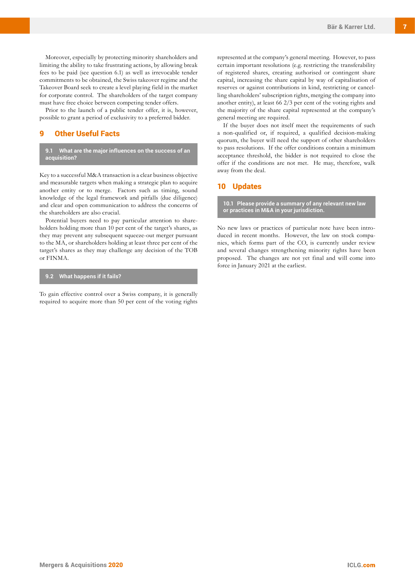Moreover, especially by protecting minority shareholders and limiting the ability to take frustrating actions, by allowing break fees to be paid (see question 6.1) as well as irrevocable tender commitments to be obtained, the Swiss takeover regime and the Takeover Board seek to create a level playing field in the market for corporate control. The shareholders of the target company must have free choice between competing tender offers.

Prior to the launch of a public tender offer, it is, however, possible to grant a period of exclusivity to a preferred bidder.

# 9 Other Useful Facts

## **9.1 What are the major influences on the success of an acquisition?**

Key to a successful M&A transaction is a clear business objective and measurable targets when making a strategic plan to acquire another entity or to merge. Factors such as timing, sound knowledge of the legal framework and pitfalls (due diligence) and clear and open communication to address the concerns of the shareholders are also crucial.

Potential buyers need to pay particular attention to shareholders holding more than 10 per cent of the target's shares, as they may prevent any subsequent squeeze-out merger pursuant to the MA, or shareholders holding at least three per cent of the target's shares as they may challenge any decision of the TOB or FINMA.

## **9.2 What happens if it fails?**

To gain effective control over a Swiss company, it is generally required to acquire more than 50 per cent of the voting rights represented at the company's general meeting. However, to pass certain important resolutions (e.g. restricting the transferability of registered shares, creating authorised or contingent share capital, increasing the share capital by way of capitalisation of reserves or against contributions in kind, restricting or cancelling shareholders' subscription rights, merging the company into another entity), at least 66 2/3 per cent of the voting rights and the majority of the share capital represented at the company's general meeting are required.

If the buyer does not itself meet the requirements of such a non-qualified or, if required, a qualified decision-making quorum, the buyer will need the support of other shareholders to pass resolutions. If the offer conditions contain a minimum acceptance threshold, the bidder is not required to close the offer if the conditions are not met. He may, therefore, walk away from the deal.

## 10 Updates

**10.1 Please provide a summary of any relevant new law or practices in M&A in your jurisdiction.**

No new laws or practices of particular note have been introduced in recent months. However, the law on stock companies, which forms part of the CO, is currently under review and several changes strengthening minority rights have been proposed. The changes are not yet final and will come into force in January 2021 at the earliest.